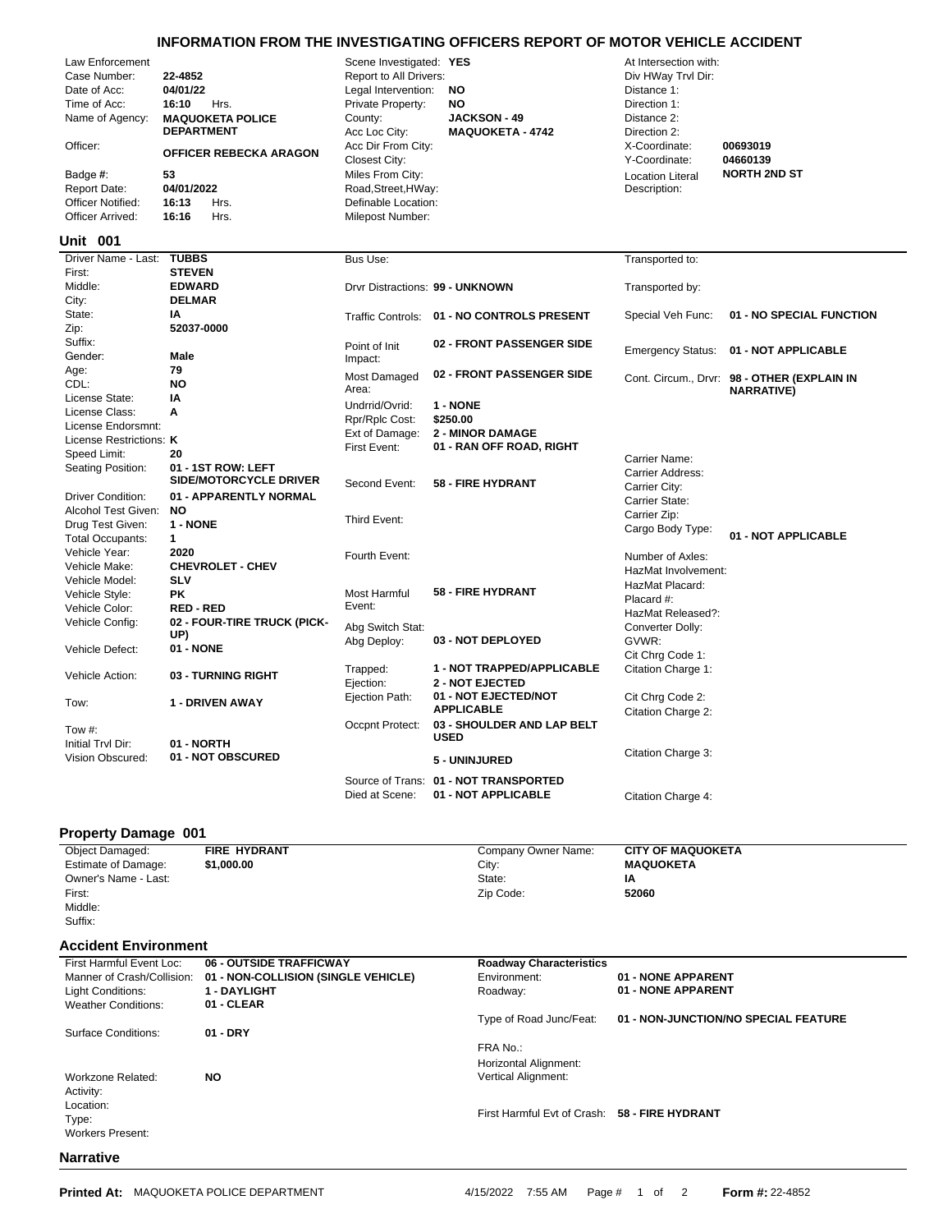## **INFORMATION FROM THE INVESTIGATING OFFICERS REPORT OF MOTOR VEHICLE ACCIDENT**

| Law Enforcement<br>Case Number:<br>Date of Acc:<br>Time of Acc:<br>Name of Agency:<br>Officer:<br>Badge #:<br><b>Report Date:</b><br>Officer Notified:<br>Officer Arrived: | 22-4852<br>04/01/22<br>16:10<br>Hrs.<br><b>MAQUOKETA POLICE</b><br><b>DEPARTMENT</b><br><b>OFFICER REBECKA ARAGON</b><br>53<br>04/01/2022<br>16:13<br>Hrs.<br>16:16<br>Hrs. | Scene Investigated: YES<br>Report to All Drivers:<br>Legal Intervention:<br>Private Property:<br>County:<br>Acc Loc City:<br>Acc Dir From City:<br>Closest City:<br>Miles From City:<br>Road, Street, HWay:<br>Definable Location:<br>Milepost Number: | <b>NO</b><br><b>NO</b><br><b>JACKSON - 49</b><br><b>MAQUOKETA - 4742</b> | At Intersection with:<br>Div HWay Trvl Dir:<br>Distance 1:<br>Direction 1:<br>Distance 2:<br>Direction 2:<br>X-Coordinate:<br>Y-Coordinate:<br><b>Location Literal</b><br>Description: | 00693019<br>04660139<br><b>NORTH 2ND ST</b>                      |
|----------------------------------------------------------------------------------------------------------------------------------------------------------------------------|-----------------------------------------------------------------------------------------------------------------------------------------------------------------------------|--------------------------------------------------------------------------------------------------------------------------------------------------------------------------------------------------------------------------------------------------------|--------------------------------------------------------------------------|----------------------------------------------------------------------------------------------------------------------------------------------------------------------------------------|------------------------------------------------------------------|
| <b>Unit 001</b>                                                                                                                                                            |                                                                                                                                                                             |                                                                                                                                                                                                                                                        |                                                                          |                                                                                                                                                                                        |                                                                  |
| Driver Name - Last:<br>First:                                                                                                                                              | <b>TUBBS</b><br><b>STEVEN</b>                                                                                                                                               | Bus Use:                                                                                                                                                                                                                                               |                                                                          | Transported to:                                                                                                                                                                        |                                                                  |
| Middle:<br>City:                                                                                                                                                           | <b>EDWARD</b><br><b>DELMAR</b>                                                                                                                                              |                                                                                                                                                                                                                                                        | Drvr Distractions: 99 - UNKNOWN                                          | Transported by:                                                                                                                                                                        |                                                                  |
| State:<br>Zip:                                                                                                                                                             | ΙA<br>52037-0000                                                                                                                                                            |                                                                                                                                                                                                                                                        | Traffic Controls: 01 - NO CONTROLS PRESENT                               | Special Veh Func:                                                                                                                                                                      | 01 - NO SPECIAL FUNCTION                                         |
| Suffix:<br>Gender:                                                                                                                                                         | Male                                                                                                                                                                        | Point of Init<br>Impact:                                                                                                                                                                                                                               | 02 - FRONT PASSENGER SIDE                                                | <b>Emergency Status:</b>                                                                                                                                                               | 01 - NOT APPLICABLE                                              |
| Age:<br>CDL:                                                                                                                                                               | 79<br><b>NO</b>                                                                                                                                                             | Most Damaged<br>Area:                                                                                                                                                                                                                                  | 02 - FRONT PASSENGER SIDE                                                |                                                                                                                                                                                        | Cont. Circum., Drvr: 98 - OTHER (EXPLAIN IN<br><b>NARRATIVE)</b> |
| License State:                                                                                                                                                             | IA                                                                                                                                                                          | Undrrid/Ovrid:                                                                                                                                                                                                                                         | 1 - NONE                                                                 |                                                                                                                                                                                        |                                                                  |
| License Class:                                                                                                                                                             | A                                                                                                                                                                           | Rpr/Rplc Cost:                                                                                                                                                                                                                                         | \$250.00                                                                 |                                                                                                                                                                                        |                                                                  |
| License Endorsmnt:                                                                                                                                                         |                                                                                                                                                                             | Ext of Damage:                                                                                                                                                                                                                                         | <b>2 - MINOR DAMAGE</b>                                                  |                                                                                                                                                                                        |                                                                  |
| License Restrictions: K<br>Speed Limit:                                                                                                                                    | 20                                                                                                                                                                          | First Event:                                                                                                                                                                                                                                           | 01 - RAN OFF ROAD, RIGHT                                                 |                                                                                                                                                                                        |                                                                  |
| Seating Position:                                                                                                                                                          | 01 - 1ST ROW: LEFT<br><b>SIDE/MOTORCYCLE DRIVER</b>                                                                                                                         | Second Event:                                                                                                                                                                                                                                          | <b>58 - FIRE HYDRANT</b>                                                 | Carrier Name:<br>Carrier Address:<br>Carrier City:                                                                                                                                     |                                                                  |
| <b>Driver Condition:</b>                                                                                                                                                   | 01 - APPARENTLY NORMAL                                                                                                                                                      |                                                                                                                                                                                                                                                        |                                                                          | Carrier State:                                                                                                                                                                         |                                                                  |
| Alcohol Test Given:                                                                                                                                                        | <b>NO</b>                                                                                                                                                                   | Third Event:                                                                                                                                                                                                                                           |                                                                          | Carrier Zip:                                                                                                                                                                           |                                                                  |
| Drug Test Given:<br><b>Total Occupants:</b>                                                                                                                                | 1 - NONE<br>$\mathbf{1}$                                                                                                                                                    |                                                                                                                                                                                                                                                        |                                                                          | Cargo Body Type:                                                                                                                                                                       | 01 - NOT APPLICABLE                                              |
| Vehicle Year:                                                                                                                                                              | 2020                                                                                                                                                                        |                                                                                                                                                                                                                                                        |                                                                          |                                                                                                                                                                                        |                                                                  |
| Vehicle Make:                                                                                                                                                              | <b>CHEVROLET - CHEV</b>                                                                                                                                                     | Fourth Event:                                                                                                                                                                                                                                          |                                                                          | Number of Axles:                                                                                                                                                                       |                                                                  |
| Vehicle Model:                                                                                                                                                             | <b>SLV</b>                                                                                                                                                                  |                                                                                                                                                                                                                                                        |                                                                          | HazMat Involvement:<br>HazMat Placard:                                                                                                                                                 |                                                                  |
| Vehicle Style:                                                                                                                                                             | <b>PK</b>                                                                                                                                                                   | Most Harmful                                                                                                                                                                                                                                           | <b>58 - FIRE HYDRANT</b>                                                 | Placard #:                                                                                                                                                                             |                                                                  |
| Vehicle Color:                                                                                                                                                             | <b>RED-RED</b>                                                                                                                                                              | Event:                                                                                                                                                                                                                                                 |                                                                          | HazMat Released?:                                                                                                                                                                      |                                                                  |
| Vehicle Config:                                                                                                                                                            | 02 - FOUR-TIRE TRUCK (PICK-<br>UP)                                                                                                                                          | Abg Switch Stat:                                                                                                                                                                                                                                       |                                                                          | Converter Dolly:                                                                                                                                                                       |                                                                  |
| Vehicle Defect:                                                                                                                                                            | 01 - NONE                                                                                                                                                                   | Abg Deploy:                                                                                                                                                                                                                                            | 03 - NOT DEPLOYED                                                        | GVWR:<br>Cit Chrg Code 1:                                                                                                                                                              |                                                                  |
| Vehicle Action:                                                                                                                                                            | 03 - TURNING RIGHT                                                                                                                                                          | Trapped:<br>Ejection:                                                                                                                                                                                                                                  | 1 - NOT TRAPPED/APPLICABLE<br><b>2 - NOT EJECTED</b>                     | Citation Charge 1:                                                                                                                                                                     |                                                                  |
| Tow:                                                                                                                                                                       | 1 - DRIVEN AWAY                                                                                                                                                             | Ejection Path:                                                                                                                                                                                                                                         | 01 - NOT EJECTED/NOT<br><b>APPLICABLE</b>                                | Cit Chrg Code 2:<br>Citation Charge 2:                                                                                                                                                 |                                                                  |
| Tow #:<br>Initial Trvl Dir:                                                                                                                                                | 01 - NORTH                                                                                                                                                                  | Occpnt Protect:                                                                                                                                                                                                                                        | 03 - SHOULDER AND LAP BELT<br><b>USED</b>                                |                                                                                                                                                                                        |                                                                  |
| Vision Obscured:                                                                                                                                                           | 01 - NOT OBSCURED                                                                                                                                                           |                                                                                                                                                                                                                                                        | 5 - UNINJURED                                                            | Citation Charge 3:                                                                                                                                                                     |                                                                  |
|                                                                                                                                                                            |                                                                                                                                                                             |                                                                                                                                                                                                                                                        | Source of Trans: 01 - NOT TRANSPORTED                                    |                                                                                                                                                                                        |                                                                  |

## **Property Damage 001**

| <b>TROPERY Daniage AAT</b><br><b>Object Damaged:</b> | <b>FIRE HYDRANT</b>                 | Company Owner Name:                           | <b>CITY OF MAQUOKETA</b>             |
|------------------------------------------------------|-------------------------------------|-----------------------------------------------|--------------------------------------|
| Estimate of Damage:                                  | \$1,000.00                          | City:                                         | <b>MAQUOKETA</b>                     |
| Owner's Name - Last:                                 |                                     | State:                                        | IA                                   |
| First:                                               |                                     | Zip Code:                                     | 52060                                |
| Middle:                                              |                                     |                                               |                                      |
| Suffix:                                              |                                     |                                               |                                      |
|                                                      |                                     |                                               |                                      |
| <b>Accident Environment</b>                          |                                     |                                               |                                      |
| First Harmful Event Loc:                             | 06 - OUTSIDE TRAFFICWAY             | <b>Roadway Characteristics</b>                |                                      |
| Manner of Crash/Collision:                           | 01 - NON-COLLISION (SINGLE VEHICLE) | Environment:                                  | 01 - NONE APPARENT                   |
| Light Conditions:                                    | <b>1 - DAYLIGHT</b>                 | Roadway:                                      | 01 - NONE APPARENT                   |
| <b>Weather Conditions:</b>                           | 01 - CLEAR                          |                                               |                                      |
|                                                      |                                     | Type of Road Junc/Feat:                       | 01 - NON-JUNCTION/NO SPECIAL FEATURE |
| <b>Surface Conditions:</b>                           | 01 - DRY                            |                                               |                                      |
|                                                      |                                     | FRA No.:                                      |                                      |
|                                                      |                                     | Horizontal Alignment:                         |                                      |
| Workzone Related:                                    | <b>NO</b>                           | Vertical Alignment:                           |                                      |
| Activity:                                            |                                     |                                               |                                      |
| Location:                                            |                                     |                                               |                                      |
| Type:                                                |                                     | First Harmful Evt of Crash: 58 - FIRE HYDRANT |                                      |
| <b>Workers Present:</b>                              |                                     |                                               |                                      |
|                                                      |                                     |                                               |                                      |

Died at Scene: **01 - NOT APPLICABLE** Citation Charge 4:

## **Narrative**